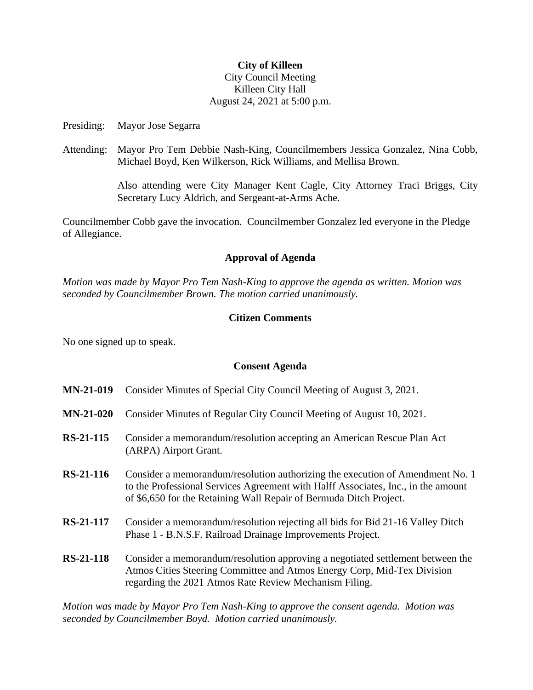## **City of Killeen**

## City Council Meeting Killeen City Hall August 24, 2021 at 5:00 p.m.

Presiding: Mayor Jose Segarra

Attending: Mayor Pro Tem Debbie Nash-King, Councilmembers Jessica Gonzalez, Nina Cobb, Michael Boyd, Ken Wilkerson, Rick Williams, and Mellisa Brown.

> Also attending were City Manager Kent Cagle, City Attorney Traci Briggs, City Secretary Lucy Aldrich, and Sergeant-at-Arms Ache.

Councilmember Cobb gave the invocation. Councilmember Gonzalez led everyone in the Pledge of Allegiance.

### **Approval of Agenda**

*Motion was made by Mayor Pro Tem Nash-King to approve the agenda as written. Motion was seconded by Councilmember Brown. The motion carried unanimously.*

### **Citizen Comments**

No one signed up to speak.

### **Consent Agenda**

- **MN-21-019** Consider Minutes of Special City Council Meeting of August 3, 2021.
- **MN-21-020** Consider Minutes of Regular City Council Meeting of August 10, 2021.
- **RS-21-115** Consider a memorandum/resolution accepting an American Rescue Plan Act (ARPA) Airport Grant.
- **RS-21-116** Consider a memorandum/resolution authorizing the execution of Amendment No. 1 to the Professional Services Agreement with Halff Associates, Inc., in the amount of \$6,650 for the Retaining Wall Repair of Bermuda Ditch Project.
- **RS-21-117** Consider a memorandum/resolution rejecting all bids for Bid 21-16 Valley Ditch Phase 1 - B.N.S.F. Railroad Drainage Improvements Project.
- **RS-21-118** Consider a memorandum/resolution approving a negotiated settlement between the Atmos Cities Steering Committee and Atmos Energy Corp, Mid-Tex Division regarding the 2021 Atmos Rate Review Mechanism Filing.

*Motion was made by Mayor Pro Tem Nash-King to approve the consent agenda. Motion was seconded by Councilmember Boyd. Motion carried unanimously.*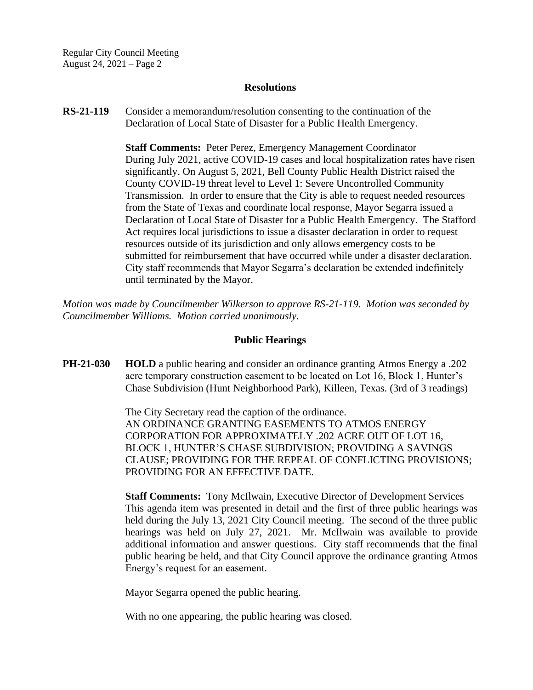Regular City Council Meeting August 24, 2021 – Page 2

#### **Resolutions**

**RS-21-119** Consider a memorandum/resolution consenting to the continuation of the Declaration of Local State of Disaster for a Public Health Emergency.

> **Staff Comments:** Peter Perez, Emergency Management Coordinator During July 2021, active COVID-19 cases and local hospitalization rates have risen significantly. On August 5, 2021, Bell County Public Health District raised the County COVID-19 threat level to Level 1: Severe Uncontrolled Community Transmission. In order to ensure that the City is able to request needed resources from the State of Texas and coordinate local response, Mayor Segarra issued a Declaration of Local State of Disaster for a Public Health Emergency. The Stafford Act requires local jurisdictions to issue a disaster declaration in order to request resources outside of its jurisdiction and only allows emergency costs to be submitted for reimbursement that have occurred while under a disaster declaration. City staff recommends that Mayor Segarra's declaration be extended indefinitely until terminated by the Mayor.

*Motion was made by Councilmember Wilkerson to approve RS-21-119. Motion was seconded by Councilmember Williams. Motion carried unanimously.*

#### **Public Hearings**

**PH-21-030 HOLD** a public hearing and consider an ordinance granting Atmos Energy a .202 acre temporary construction easement to be located on Lot 16, Block 1, Hunter's Chase Subdivision (Hunt Neighborhood Park), Killeen, Texas. (3rd of 3 readings)

> The City Secretary read the caption of the ordinance. AN ORDINANCE GRANTING EASEMENTS TO ATMOS ENERGY CORPORATION FOR APPROXIMATELY .202 ACRE OUT OF LOT 16, BLOCK 1, HUNTER'S CHASE SUBDIVISION; PROVIDING A SAVINGS CLAUSE; PROVIDING FOR THE REPEAL OF CONFLICTING PROVISIONS; PROVIDING FOR AN EFFECTIVE DATE.

**Staff Comments:** Tony McIlwain, Executive Director of Development Services This agenda item was presented in detail and the first of three public hearings was held during the July 13, 2021 City Council meeting. The second of the three public hearings was held on July 27, 2021. Mr. McIlwain was available to provide additional information and answer questions. City staff recommends that the final public hearing be held, and that City Council approve the ordinance granting Atmos Energy's request for an easement.

Mayor Segarra opened the public hearing.

With no one appearing, the public hearing was closed.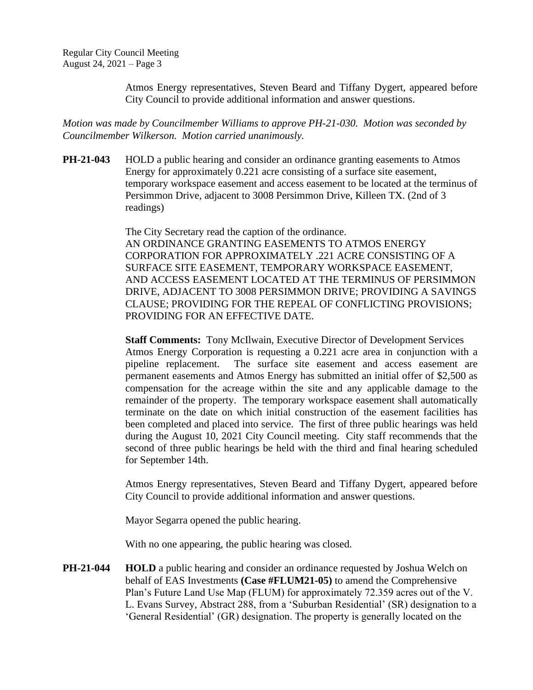Atmos Energy representatives, Steven Beard and Tiffany Dygert, appeared before City Council to provide additional information and answer questions.

*Motion was made by Councilmember Williams to approve PH-21-030. Motion was seconded by Councilmember Wilkerson. Motion carried unanimously.*

**PH-21-043** HOLD a public hearing and consider an ordinance granting easements to Atmos Energy for approximately 0.221 acre consisting of a surface site easement, temporary workspace easement and access easement to be located at the terminus of Persimmon Drive, adjacent to 3008 Persimmon Drive, Killeen TX. (2nd of 3 readings)

> The City Secretary read the caption of the ordinance. AN ORDINANCE GRANTING EASEMENTS TO ATMOS ENERGY CORPORATION FOR APPROXIMATELY .221 ACRE CONSISTING OF A SURFACE SITE EASEMENT, TEMPORARY WORKSPACE EASEMENT, AND ACCESS EASEMENT LOCATED AT THE TERMINUS OF PERSIMMON DRIVE, ADJACENT TO 3008 PERSIMMON DRIVE; PROVIDING A SAVINGS CLAUSE; PROVIDING FOR THE REPEAL OF CONFLICTING PROVISIONS; PROVIDING FOR AN EFFECTIVE DATE.

> **Staff Comments:** Tony McIlwain, Executive Director of Development Services Atmos Energy Corporation is requesting a 0.221 acre area in conjunction with a pipeline replacement. The surface site easement and access easement are permanent easements and Atmos Energy has submitted an initial offer of \$2,500 as compensation for the acreage within the site and any applicable damage to the remainder of the property. The temporary workspace easement shall automatically terminate on the date on which initial construction of the easement facilities has been completed and placed into service. The first of three public hearings was held during the August 10, 2021 City Council meeting. City staff recommends that the second of three public hearings be held with the third and final hearing scheduled for September 14th.

> Atmos Energy representatives, Steven Beard and Tiffany Dygert, appeared before City Council to provide additional information and answer questions.

Mayor Segarra opened the public hearing.

With no one appearing, the public hearing was closed.

**PH-21-044 HOLD** a public hearing and consider an ordinance requested by Joshua Welch on behalf of EAS Investments **(Case #FLUM21-05)** to amend the Comprehensive Plan's Future Land Use Map (FLUM) for approximately 72.359 acres out of the V. L. Evans Survey, Abstract 288, from a 'Suburban Residential' (SR) designation to a 'General Residential' (GR) designation. The property is generally located on the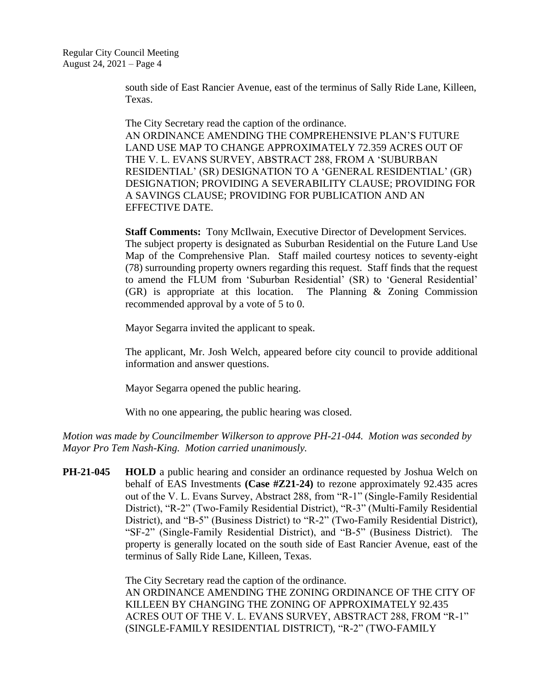south side of East Rancier Avenue, east of the terminus of Sally Ride Lane, Killeen, Texas.

The City Secretary read the caption of the ordinance. AN ORDINANCE AMENDING THE COMPREHENSIVE PLAN'S FUTURE LAND USE MAP TO CHANGE APPROXIMATELY 72.359 ACRES OUT OF THE V. L. EVANS SURVEY, ABSTRACT 288, FROM A 'SUBURBAN RESIDENTIAL' (SR) DESIGNATION TO A 'GENERAL RESIDENTIAL' (GR) DESIGNATION; PROVIDING A SEVERABILITY CLAUSE; PROVIDING FOR A SAVINGS CLAUSE; PROVIDING FOR PUBLICATION AND AN EFFECTIVE DATE.

**Staff Comments:** Tony McIlwain, Executive Director of Development Services. The subject property is designated as Suburban Residential on the Future Land Use Map of the Comprehensive Plan. Staff mailed courtesy notices to seventy-eight (78) surrounding property owners regarding this request. Staff finds that the request to amend the FLUM from 'Suburban Residential' (SR) to 'General Residential' (GR) is appropriate at this location. The Planning & Zoning Commission recommended approval by a vote of 5 to 0.

Mayor Segarra invited the applicant to speak.

The applicant, Mr. Josh Welch, appeared before city council to provide additional information and answer questions.

Mayor Segarra opened the public hearing.

With no one appearing, the public hearing was closed.

*Motion was made by Councilmember Wilkerson to approve PH-21-044. Motion was seconded by Mayor Pro Tem Nash-King. Motion carried unanimously.*

**PH-21-045 HOLD** a public hearing and consider an ordinance requested by Joshua Welch on behalf of EAS Investments **(Case #Z21-24)** to rezone approximately 92.435 acres out of the V. L. Evans Survey, Abstract 288, from "R-1" (Single-Family Residential District), "R-2" (Two-Family Residential District), "R-3" (Multi-Family Residential District), and "B-5" (Business District) to "R-2" (Two-Family Residential District), "SF-2" (Single-Family Residential District), and "B-5" (Business District). The property is generally located on the south side of East Rancier Avenue, east of the terminus of Sally Ride Lane, Killeen, Texas.

> The City Secretary read the caption of the ordinance. AN ORDINANCE AMENDING THE ZONING ORDINANCE OF THE CITY OF KILLEEN BY CHANGING THE ZONING OF APPROXIMATELY 92.435 ACRES OUT OF THE V. L. EVANS SURVEY, ABSTRACT 288, FROM "R-1" (SINGLE-FAMILY RESIDENTIAL DISTRICT), "R-2" (TWO-FAMILY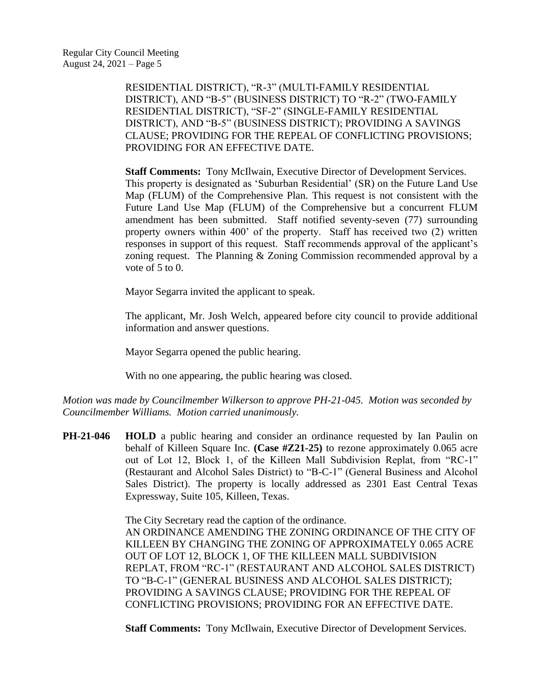RESIDENTIAL DISTRICT), "R-3" (MULTI-FAMILY RESIDENTIAL DISTRICT), AND "B-5" (BUSINESS DISTRICT) TO "R-2" (TWO-FAMILY RESIDENTIAL DISTRICT), "SF-2" (SINGLE-FAMILY RESIDENTIAL DISTRICT), AND "B-5" (BUSINESS DISTRICT); PROVIDING A SAVINGS CLAUSE; PROVIDING FOR THE REPEAL OF CONFLICTING PROVISIONS; PROVIDING FOR AN EFFECTIVE DATE.

**Staff Comments:** Tony McIlwain, Executive Director of Development Services. This property is designated as 'Suburban Residential' (SR) on the Future Land Use Map (FLUM) of the Comprehensive Plan. This request is not consistent with the Future Land Use Map (FLUM) of the Comprehensive but a concurrent FLUM amendment has been submitted. Staff notified seventy-seven (77) surrounding property owners within 400' of the property. Staff has received two (2) written responses in support of this request. Staff recommends approval of the applicant's zoning request. The Planning & Zoning Commission recommended approval by a vote of 5 to 0.

Mayor Segarra invited the applicant to speak.

The applicant, Mr. Josh Welch, appeared before city council to provide additional information and answer questions.

Mayor Segarra opened the public hearing.

With no one appearing, the public hearing was closed.

*Motion was made by Councilmember Wilkerson to approve PH-21-045. Motion was seconded by Councilmember Williams. Motion carried unanimously.*

**PH-21-046 HOLD** a public hearing and consider an ordinance requested by Ian Paulin on behalf of Killeen Square Inc. **(Case #Z21-25)** to rezone approximately 0.065 acre out of Lot 12, Block 1, of the Killeen Mall Subdivision Replat, from "RC-1" (Restaurant and Alcohol Sales District) to "B-C-1" (General Business and Alcohol Sales District). The property is locally addressed as 2301 East Central Texas Expressway, Suite 105, Killeen, Texas.

> The City Secretary read the caption of the ordinance. AN ORDINANCE AMENDING THE ZONING ORDINANCE OF THE CITY OF KILLEEN BY CHANGING THE ZONING OF APPROXIMATELY 0.065 ACRE OUT OF LOT 12, BLOCK 1, OF THE KILLEEN MALL SUBDIVISION REPLAT, FROM "RC-1" (RESTAURANT AND ALCOHOL SALES DISTRICT) TO "B-C-1" (GENERAL BUSINESS AND ALCOHOL SALES DISTRICT); PROVIDING A SAVINGS CLAUSE; PROVIDING FOR THE REPEAL OF CONFLICTING PROVISIONS; PROVIDING FOR AN EFFECTIVE DATE.

**Staff Comments:** Tony McIlwain, Executive Director of Development Services.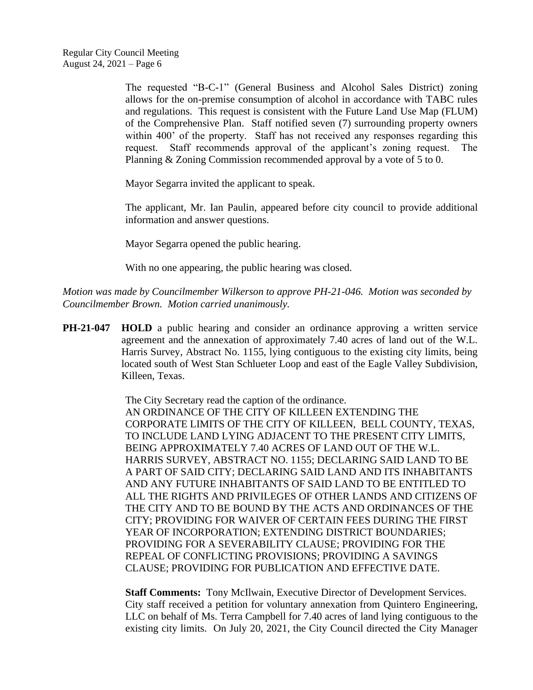The requested "B-C-1" (General Business and Alcohol Sales District) zoning allows for the on-premise consumption of alcohol in accordance with TABC rules and regulations. This request is consistent with the Future Land Use Map (FLUM) of the Comprehensive Plan. Staff notified seven (7) surrounding property owners within 400' of the property. Staff has not received any responses regarding this request. Staff recommends approval of the applicant's zoning request. The Planning & Zoning Commission recommended approval by a vote of 5 to 0.

Mayor Segarra invited the applicant to speak.

The applicant, Mr. Ian Paulin, appeared before city council to provide additional information and answer questions.

Mayor Segarra opened the public hearing.

With no one appearing, the public hearing was closed.

*Motion was made by Councilmember Wilkerson to approve PH-21-046. Motion was seconded by Councilmember Brown. Motion carried unanimously.*

**PH-21-047 HOLD** a public hearing and consider an ordinance approving a written service agreement and the annexation of approximately 7.40 acres of land out of the W.L. Harris Survey, Abstract No. 1155, lying contiguous to the existing city limits, being located south of West Stan Schlueter Loop and east of the Eagle Valley Subdivision, Killeen, Texas.

> The City Secretary read the caption of the ordinance. AN ORDINANCE OF THE CITY OF KILLEEN EXTENDING THE CORPORATE LIMITS OF THE CITY OF KILLEEN, BELL COUNTY, TEXAS, TO INCLUDE LAND LYING ADJACENT TO THE PRESENT CITY LIMITS, BEING APPROXIMATELY 7.40 ACRES OF LAND OUT OF THE W.L. HARRIS SURVEY, ABSTRACT NO. 1155; DECLARING SAID LAND TO BE A PART OF SAID CITY; DECLARING SAID LAND AND ITS INHABITANTS AND ANY FUTURE INHABITANTS OF SAID LAND TO BE ENTITLED TO ALL THE RIGHTS AND PRIVILEGES OF OTHER LANDS AND CITIZENS OF THE CITY AND TO BE BOUND BY THE ACTS AND ORDINANCES OF THE CITY; PROVIDING FOR WAIVER OF CERTAIN FEES DURING THE FIRST YEAR OF INCORPORATION; EXTENDING DISTRICT BOUNDARIES; PROVIDING FOR A SEVERABILITY CLAUSE; PROVIDING FOR THE REPEAL OF CONFLICTING PROVISIONS; PROVIDING A SAVINGS CLAUSE; PROVIDING FOR PUBLICATION AND EFFECTIVE DATE.

> **Staff Comments:** Tony McIlwain, Executive Director of Development Services. City staff received a petition for voluntary annexation from Quintero Engineering, LLC on behalf of Ms. Terra Campbell for 7.40 acres of land lying contiguous to the existing city limits. On July 20, 2021, the City Council directed the City Manager